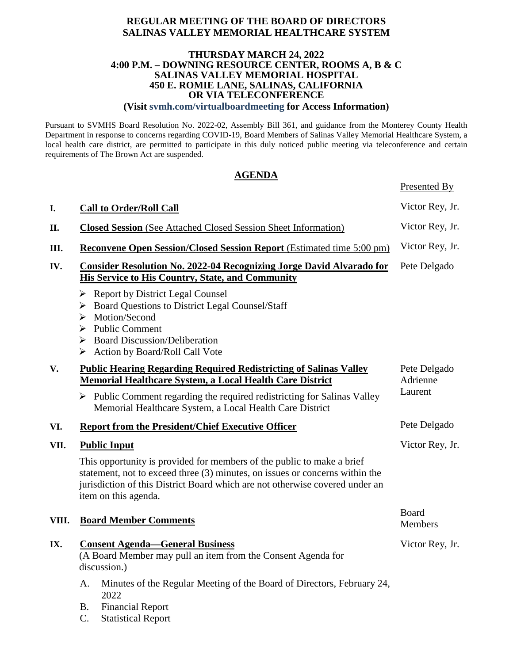#### **REGULAR MEETING OF THE BOARD OF DIRECTORS SALINAS VALLEY MEMORIAL HEALTHCARE SYSTEM**

#### **THURSDAY MARCH 24, 2022 4:00 P.M. – DOWNING RESOURCE CENTER, ROOMS A, B & C SALINAS VALLEY MEMORIAL HÓSPITAL 450 E. ROMIE LANE, SALINAS, CALIFORNIA OR VIA TELECONFERENCE**

**(Visit svmh.com/virtualboardmeeting for Access Information)**

Pursuant to SVMHS Board Resolution No. 2022-02, Assembly Bill 361, and guidance from the Monterey County Health Department in response to concerns regarding COVID-19, Board Members of Salinas Valley Memorial Healthcare System, a local health care district, are permitted to participate in this duly noticed public meeting via teleconference and certain requirements of The Brown Act are suspended.

#### **AGENDA**

Presented By

| I.    | <b>Call to Order/Roll Call</b>                                                                                                                                                                                                                                  | Victor Rey, Jr.          |  |
|-------|-----------------------------------------------------------------------------------------------------------------------------------------------------------------------------------------------------------------------------------------------------------------|--------------------------|--|
| П.    | <b>Closed Session</b> (See Attached Closed Session Sheet Information)                                                                                                                                                                                           | Victor Rey, Jr.          |  |
| Ш.    | <b>Reconvene Open Session/Closed Session Report (Estimated time 5:00 pm)</b>                                                                                                                                                                                    | Victor Rey, Jr.          |  |
| IV.   | <b>Consider Resolution No. 2022-04 Recognizing Jorge David Alvarado for</b><br><b>His Service to His Country, State, and Community</b>                                                                                                                          | Pete Delgado             |  |
|       | $\triangleright$ Report by District Legal Counsel<br><b>Board Questions to District Legal Counsel/Staff</b><br>➤<br>Motion/Second<br>➤<br>$\triangleright$ Public Comment<br>$\triangleright$ Board Discussion/Deliberation<br>> Action by Board/Roll Call Vote |                          |  |
| V.    | <b>Public Hearing Regarding Required Redistricting of Salinas Valley</b><br><b>Memorial Healthcare System, a Local Health Care District</b>                                                                                                                     | Pete Delgado<br>Adrienne |  |
|       | $\triangleright$ Public Comment regarding the required redistricting for Salinas Valley<br>Memorial Healthcare System, a Local Health Care District                                                                                                             | Laurent                  |  |
| VI.   | <b>Report from the President/Chief Executive Officer</b>                                                                                                                                                                                                        | Pete Delgado             |  |
| VII.  | <b>Public Input</b>                                                                                                                                                                                                                                             | Victor Rey, Jr.          |  |
|       | This opportunity is provided for members of the public to make a brief<br>statement, not to exceed three (3) minutes, on issues or concerns within the<br>jurisdiction of this District Board which are not otherwise covered under an<br>item on this agenda.  |                          |  |
| VIII. | <b>Board Member Comments</b>                                                                                                                                                                                                                                    | Board<br>Members         |  |
| IX.   | <b>Consent Agenda-General Business</b><br>(A Board Member may pull an item from the Consent Agenda for<br>discussion.)                                                                                                                                          | Victor Rey, Jr.          |  |
|       | Minutes of the Regular Meeting of the Board of Directors, February 24,<br>А.<br>2022<br><b>Financial Report</b><br><b>B.</b>                                                                                                                                    |                          |  |

C. Statistical Report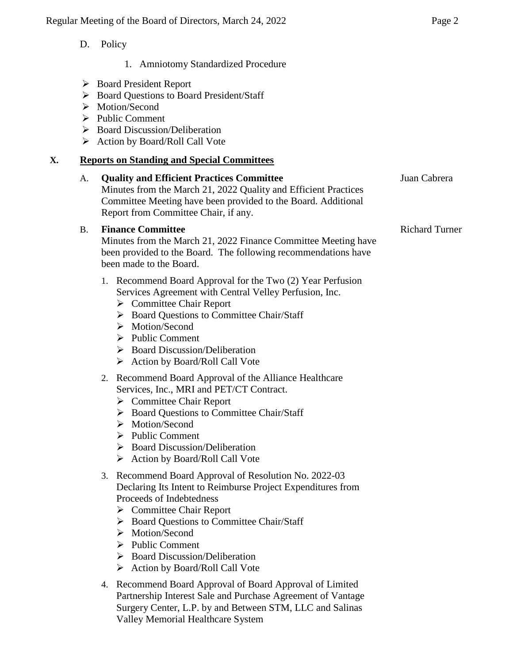- D. Policy
	- 1. Amniotomy Standardized Procedure
- Board President Report
- Board Questions to Board President/Staff
- > Motion/Second
- $\triangleright$  Public Comment
- $\triangleright$  Board Discussion/Deliberation
- Action by Board/Roll Call Vote

## **X. Reports on Standing and Special Committees**

| A.        | <b>Quality and Efficient Practices Committee</b><br>Minutes from the March 21, 2022 Quality and Efficient Practices<br>Committee Meeting have been provided to the Board. Additional<br>Report from Committee Chair, if any.                                                                                                                                                                  | Juan Cabrera          |
|-----------|-----------------------------------------------------------------------------------------------------------------------------------------------------------------------------------------------------------------------------------------------------------------------------------------------------------------------------------------------------------------------------------------------|-----------------------|
| <b>B.</b> | <b>Finance Committee</b><br>Minutes from the March 21, 2022 Finance Committee Meeting have<br>been provided to the Board. The following recommendations have<br>been made to the Board.                                                                                                                                                                                                       | <b>Richard Turner</b> |
|           | 1. Recommend Board Approval for the Two (2) Year Perfusion<br>Services Agreement with Central Velley Perfusion, Inc.<br>$\triangleright$ Committee Chair Report<br>> Board Questions to Committee Chair/Staff<br>$\triangleright$ Motion/Second<br>$\triangleright$ Public Comment<br>$\triangleright$ Board Discussion/Deliberation<br>$\triangleright$ Action by Board/Roll Call Vote       |                       |
|           | 2. Recommend Board Approval of the Alliance Healthcare<br>Services, Inc., MRI and PET/CT Contract.<br>$\triangleright$ Committee Chair Report<br>> Board Questions to Committee Chair/Staff<br>$\triangleright$ Motion/Second<br>$\triangleright$ Public Comment<br>$\triangleright$ Board Discussion/Deliberation<br>$\triangleright$ Action by Board/Roll Call Vote                         |                       |
|           | 3. Recommend Board Approval of Resolution No. 2022-03<br>Declaring Its Intent to Reimburse Project Expenditures from<br>Proceeds of Indebtedness<br>$\triangleright$ Committee Chair Report<br>> Board Questions to Committee Chair/Staff<br>$\triangleright$ Motion/Second<br><b>Public Comment</b><br>➤<br><b>Board Discussion/Deliberation</b><br>➤<br>Action by Board/Roll Call Vote<br>➤ |                       |
|           | 4. Recommend Board Approval of Board Approval of Limited<br>Partnership Interest Sale and Purchase Agreement of Vantage<br>Surgery Center, L.P. by and Between STM, LLC and Salinas<br>Valley Memorial Healthcare System                                                                                                                                                                      |                       |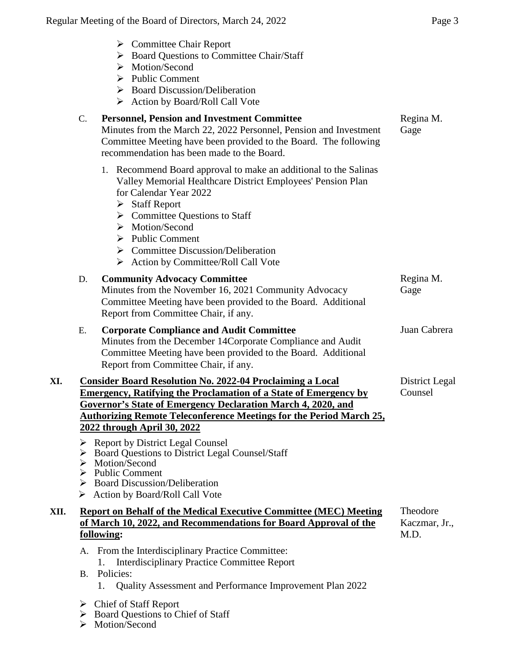| ۰. |  |
|----|--|
|----|--|

|      |          | $\triangleright$ Committee Chair Report<br>> Board Questions to Committee Chair/Staff<br>Motion/Second<br>➤<br>$\triangleright$ Public Comment<br>$\triangleright$ Board Discussion/Deliberation<br>Action by Board/Roll Call Vote<br>➤                                                                                                                                                                           |                                   |
|------|----------|-------------------------------------------------------------------------------------------------------------------------------------------------------------------------------------------------------------------------------------------------------------------------------------------------------------------------------------------------------------------------------------------------------------------|-----------------------------------|
|      | C.       | <b>Personnel, Pension and Investment Committee</b><br>Minutes from the March 22, 2022 Personnel, Pension and Investment<br>Committee Meeting have been provided to the Board. The following<br>recommendation has been made to the Board.                                                                                                                                                                         | Regina M.<br>Gage                 |
|      |          | 1. Recommend Board approval to make an additional to the Salinas<br>Valley Memorial Healthcare District Employees' Pension Plan<br>for Calendar Year 2022<br>$\triangleright$ Staff Report<br>$\triangleright$ Committee Questions to Staff<br>$\triangleright$ Motion/Second<br>$\triangleright$ Public Comment<br>$\triangleright$ Committee Discussion/Deliberation<br>Action by Committee/Roll Call Vote<br>➤ |                                   |
|      | D.       | <b>Community Advocacy Committee</b><br>Minutes from the November 16, 2021 Community Advocacy<br>Committee Meeting have been provided to the Board. Additional<br>Report from Committee Chair, if any.                                                                                                                                                                                                             | Regina M.<br>Gage                 |
|      | Ε.       | <b>Corporate Compliance and Audit Committee</b><br>Minutes from the December 14Corporate Compliance and Audit<br>Committee Meeting have been provided to the Board. Additional<br>Report from Committee Chair, if any.                                                                                                                                                                                            | Juan Cabrera                      |
| XI.  |          | <b>Consider Board Resolution No. 2022-04 Proclaiming a Local</b><br><b>Emergency, Ratifying the Proclamation of a State of Emergency by</b><br><b>Governor's State of Emergency Declaration March 4, 2020, and</b><br><b>Authorizing Remote Teleconference Meetings for the Period March 25,</b><br>2022 through April 30, 2022<br>> Report by District Legal Counsel                                             | District Legal<br>Counsel         |
|      | ➤<br>➤   | Board Questions to District Legal Counsel/Staff<br>Motion/Second<br>$\triangleright$ Public Comment<br>> Board Discussion/Deliberation<br>$\triangleright$ Action by Board/Roll Call Vote                                                                                                                                                                                                                         |                                   |
| XII. |          | <b>Report on Behalf of the Medical Executive Committee (MEC) Meeting</b><br>of March 10, 2022, and Recommendations for Board Approval of the<br>following:                                                                                                                                                                                                                                                        | Theodore<br>Kaczmar, Jr.,<br>M.D. |
|      | А.<br>B. | From the Interdisciplinary Practice Committee:<br><b>Interdisciplinary Practice Committee Report</b><br>Policies:<br>Quality Assessment and Performance Improvement Plan 2022<br>1.                                                                                                                                                                                                                               |                                   |

- Chief of Staff Report
- ▶ Board Questions to Chief of Staff
- > Motion/Second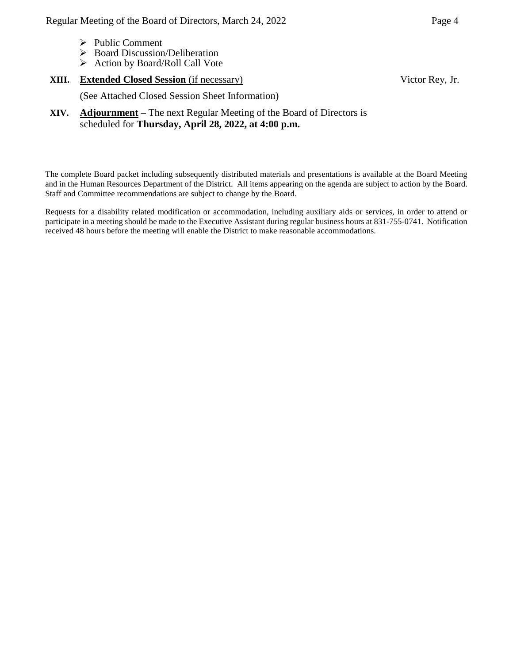- $\triangleright$  Public Comment
- Board Discussion/Deliberation
- $\triangleright$  Action by Board/Roll Call Vote

#### **XIII. Extended Closed Session** (if necessary)

Victor Rey, Jr.

(See Attached Closed Session Sheet Information)

**XIV. Adjournment** – The next Regular Meeting of the Board of Directors is scheduled for **Thursday, April 28, 2022, at 4:00 p.m.**

The complete Board packet including subsequently distributed materials and presentations is available at the Board Meeting and in the Human Resources Department of the District. All items appearing on the agenda are subject to action by the Board. Staff and Committee recommendations are subject to change by the Board.

Requests for a disability related modification or accommodation, including auxiliary aids or services, in order to attend or participate in a meeting should be made to the Executive Assistant during regular business hours at 831-755-0741. Notification received 48 hours before the meeting will enable the District to make reasonable accommodations.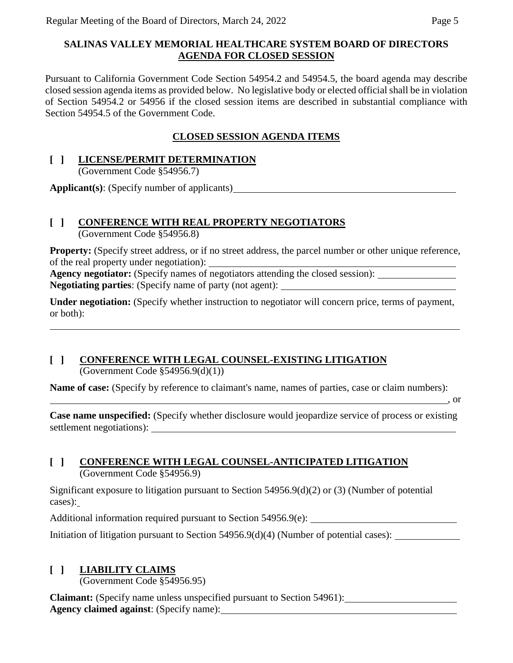### **SALINAS VALLEY MEMORIAL HEALTHCARE SYSTEM BOARD OF DIRECTORS AGENDA FOR CLOSED SESSION**

Pursuant to California Government Code Section 54954.2 and 54954.5, the board agenda may describe closed session agenda items as provided below. No legislative body or elected official shall be in violation of Section 54954.2 or 54956 if the closed session items are described in substantial compliance with Section 54954.5 of the Government Code.

## **CLOSED SESSION AGENDA ITEMS**

### **[ ] LICENSE/PERMIT DETERMINATION**

(Government Code §54956.7)

**Applicant(s)**: (Specify number of applicants)

## **[ ] CONFERENCE WITH REAL PROPERTY NEGOTIATORS**

(Government Code §54956.8)

**Property:** (Specify street address, or if no street address, the parcel number or other unique reference, of the real property under negotiation):

**Agency negotiator:** (Specify names of negotiators attending the closed session): **Negotiating parties**: (Specify name of party (not agent):

**Under negotiation:** (Specify whether instruction to negotiator will concern price, terms of payment, or both):

# **[ ] CONFERENCE WITH LEGAL COUNSEL-EXISTING LITIGATION**

(Government Code  $$54956.9(d)(1))$ )

**Name of case:** (Specify by reference to claimant's name, names of parties, case or claim numbers):

, or

**Case name unspecified:** (Specify whether disclosure would jeopardize service of process or existing settlement negotiations):

## **[ ] CONFERENCE WITH LEGAL COUNSEL-ANTICIPATED LITIGATION** (Government Code §54956.9)

Significant exposure to litigation pursuant to Section 54956.9(d)(2) or (3) (Number of potential cases):

Additional information required pursuant to Section 54956.9(e):

Initiation of litigation pursuant to Section 54956.9(d)(4) (Number of potential cases):

# **[ ] LIABILITY CLAIMS**

(Government Code §54956.95)

**Claimant:** (Specify name unless unspecified pursuant to Section 54961): **Agency claimed against**: (Specify name):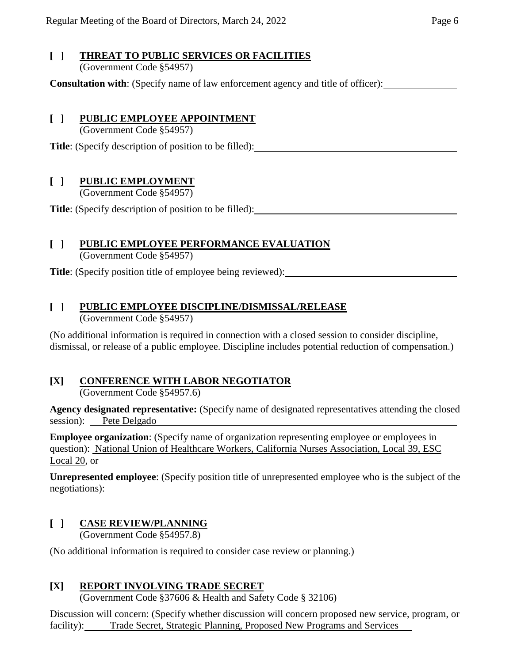### **[ ] THREAT TO PUBLIC SERVICES OR FACILITIES** (Government Code §54957)

**Consultation with**: (Specify name of law enforcement agency and title of officer):

## **[ ] PUBLIC EMPLOYEE APPOINTMENT**

(Government Code §54957)

**Title**: (Specify description of position to be filled):

## **[ ] PUBLIC EMPLOYMENT**

(Government Code §54957)

**Title**: (Specify description of position to be filled):

# **[ ] PUBLIC EMPLOYEE PERFORMANCE EVALUATION**

(Government Code §54957)

**Title**: (Specify position title of employee being reviewed):

# **[ ] PUBLIC EMPLOYEE DISCIPLINE/DISMISSAL/RELEASE**

(Government Code §54957)

(No additional information is required in connection with a closed session to consider discipline, dismissal, or release of a public employee. Discipline includes potential reduction of compensation.)

# **[X] CONFERENCE WITH LABOR NEGOTIATOR**

(Government Code §54957.6)

**Agency designated representative:** (Specify name of designated representatives attending the closed session): Pete Delgado

**Employee organization**: (Specify name of organization representing employee or employees in question): National Union of Healthcare Workers, California Nurses Association, Local 39, ESC Local 20, or

**Unrepresented employee**: (Specify position title of unrepresented employee who is the subject of the negotiations):

## **[ ] CASE REVIEW/PLANNING**

(Government Code §54957.8)

(No additional information is required to consider case review or planning.)

## **[X] REPORT INVOLVING TRADE SECRET**

(Government Code §37606 & Health and Safety Code § 32106)

Discussion will concern: (Specify whether discussion will concern proposed new service, program, or facility): Trade Secret, Strategic Planning, Proposed New Programs and Services